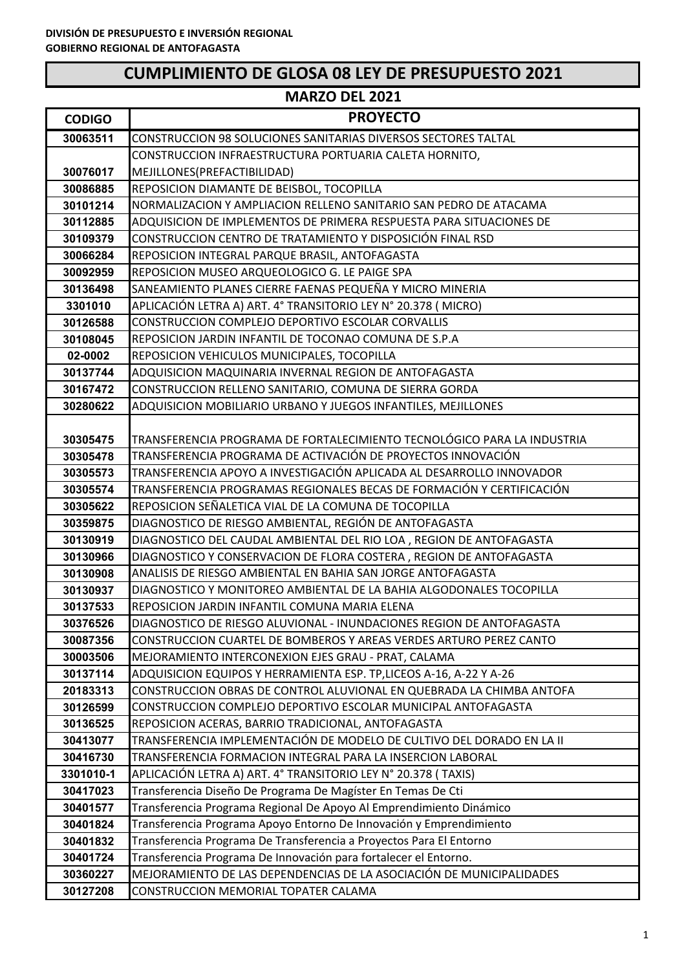| <b>CODIGO</b>        | <b>PROYECTO</b>                                                                                                                            |
|----------------------|--------------------------------------------------------------------------------------------------------------------------------------------|
| 30063511             | <b>CONSTRUCCION 98 SOLUCIONES SANITARIAS DIVERSOS SECTORES TALTAL</b>                                                                      |
|                      | CONSTRUCCION INFRAESTRUCTURA PORTUARIA CALETA HORNITO,                                                                                     |
| 30076017             | MEJILLONES(PREFACTIBILIDAD)                                                                                                                |
| 30086885             | REPOSICION DIAMANTE DE BEISBOL, TOCOPILLA                                                                                                  |
| 30101214             | NORMALIZACION Y AMPLIACION RELLENO SANITARIO SAN PEDRO DE ATACAMA                                                                          |
| 30112885             | ADQUISICION DE IMPLEMENTOS DE PRIMERA RESPUESTA PARA SITUACIONES DE                                                                        |
| 30109379             | CONSTRUCCION CENTRO DE TRATAMIENTO Y DISPOSICIÓN FINAL RSD                                                                                 |
| 30066284             | REPOSICION INTEGRAL PARQUE BRASIL, ANTOFAGASTA                                                                                             |
| 30092959             | REPOSICION MUSEO ARQUEOLOGICO G. LE PAIGE SPA                                                                                              |
| 30136498             | SANEAMIENTO PLANES CIERRE FAENAS PEQUEÑA Y MICRO MINERIA                                                                                   |
| 3301010              | APLICACIÓN LETRA A) ART. 4° TRANSITORIO LEY N° 20.378 ( MICRO)                                                                             |
| 30126588             | CONSTRUCCION COMPLEJO DEPORTIVO ESCOLAR CORVALLIS                                                                                          |
| 30108045             | REPOSICION JARDIN INFANTIL DE TOCONAO COMUNA DE S.P.A                                                                                      |
| 02-0002              | REPOSICION VEHICULOS MUNICIPALES, TOCOPILLA                                                                                                |
| 30137744             | ADQUISICION MAQUINARIA INVERNAL REGION DE ANTOFAGASTA                                                                                      |
| 30167472             | CONSTRUCCION RELLENO SANITARIO, COMUNA DE SIERRA GORDA                                                                                     |
| 30280622             | ADQUISICION MOBILIARIO URBANO Y JUEGOS INFANTILES, MEJILLONES                                                                              |
|                      |                                                                                                                                            |
| 30305475             | TRANSFERENCIA PROGRAMA DE FORTALECIMIENTO TECNOLÓGICO PARA LA INDUSTRIA                                                                    |
| 30305478             | TRANSFERENCIA PROGRAMA DE ACTIVACIÓN DE PROYECTOS INNOVACIÓN                                                                               |
| 30305573             | TRANSFERENCIA APOYO A INVESTIGACIÓN APLICADA AL DESARROLLO INNOVADOR                                                                       |
| 30305574             | TRANSFERENCIA PROGRAMAS REGIONALES BECAS DE FORMACIÓN Y CERTIFICACIÓN                                                                      |
| 30305622             | REPOSICION SEÑALETICA VIAL DE LA COMUNA DE TOCOPILLA                                                                                       |
| 30359875             | DIAGNOSTICO DE RIESGO AMBIENTAL, REGIÓN DE ANTOFAGASTA                                                                                     |
| 30130919             | DIAGNOSTICO DEL CAUDAL AMBIENTAL DEL RIO LOA, REGION DE ANTOFAGASTA                                                                        |
| 30130966             | DIAGNOSTICO Y CONSERVACION DE FLORA COSTERA, REGION DE ANTOFAGASTA<br>ANALISIS DE RIESGO AMBIENTAL EN BAHIA SAN JORGE ANTOFAGASTA          |
| 30130908             |                                                                                                                                            |
| 30130937<br>30137533 | DIAGNOSTICO Y MONITOREO AMBIENTAL DE LA BAHIA ALGODONALES TOCOPILLA<br>REPOSICION JARDIN INFANTIL COMUNA MARIA ELENA                       |
|                      |                                                                                                                                            |
| 30376526<br>30087356 | DIAGNOSTICO DE RIESGO ALUVIONAL - INUNDACIONES REGION DE ANTOFAGASTA<br>CONSTRUCCION CUARTEL DE BOMBEROS Y AREAS VERDES ARTURO PEREZ CANTO |
| 30003506             | MEJORAMIENTO INTERCONEXION EJES GRAU - PRAT, CALAMA                                                                                        |
| 30137114             | ADQUISICION EQUIPOS Y HERRAMIENTA ESP. TP, LICEOS A-16, A-22 Y A-26                                                                        |
| 20183313             | CONSTRUCCION OBRAS DE CONTROL ALUVIONAL EN QUEBRADA LA CHIMBA ANTOFA                                                                       |
| 30126599             | CONSTRUCCION COMPLEJO DEPORTIVO ESCOLAR MUNICIPAL ANTOFAGASTA                                                                              |
| 30136525             | REPOSICION ACERAS, BARRIO TRADICIONAL, ANTOFAGASTA                                                                                         |
| 30413077             | TRANSFERENCIA IMPLEMENTACIÓN DE MODELO DE CULTIVO DEL DORADO EN LA II                                                                      |
| 30416730             | TRANSFERENCIA FORMACION INTEGRAL PARA LA INSERCION LABORAL                                                                                 |
| 3301010-1            | APLICACIÓN LETRA A) ART. 4° TRANSITORIO LEY N° 20.378 (TAXIS)                                                                              |
| 30417023             | Transferencia Diseño De Programa De Magíster En Temas De Cti                                                                               |
| 30401577             | Transferencia Programa Regional De Apoyo Al Emprendimiento Dinámico                                                                        |
| 30401824             | Transferencia Programa Apoyo Entorno De Innovación y Emprendimiento                                                                        |
| 30401832             | Transferencia Programa De Transferencia a Proyectos Para El Entorno                                                                        |
| 30401724             | Transferencia Programa De Innovación para fortalecer el Entorno.                                                                           |
| 30360227             | MEJORAMIENTO DE LAS DEPENDENCIAS DE LA ASOCIACIÓN DE MUNICIPALIDADES                                                                       |
| 30127208             | CONSTRUCCION MEMORIAL TOPATER CALAMA                                                                                                       |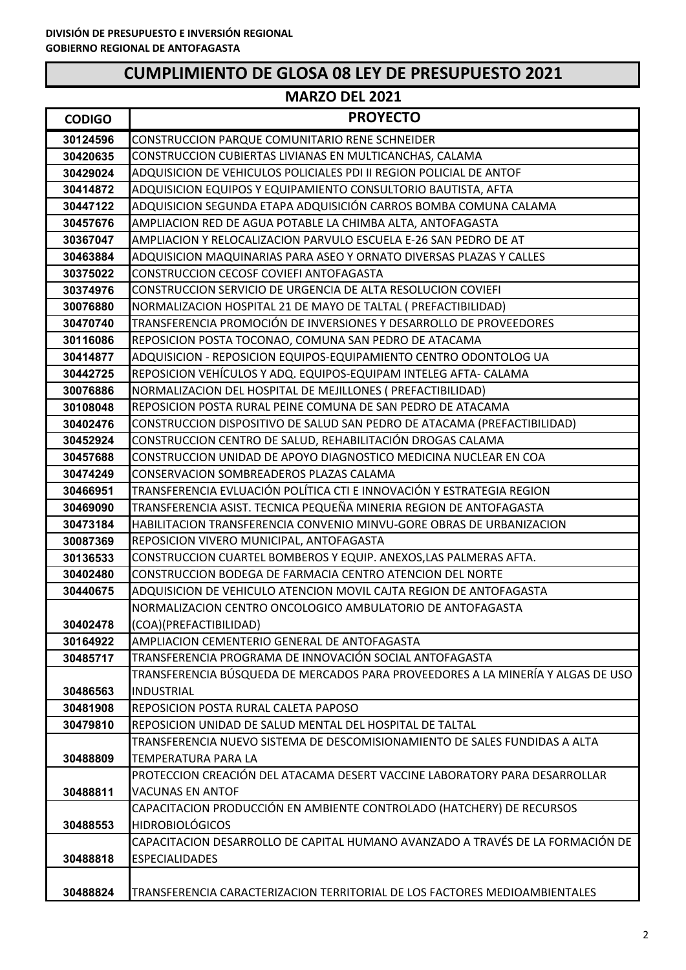| <b>CODIGO</b> | <b>PROYECTO</b>                                                                                   |
|---------------|---------------------------------------------------------------------------------------------------|
| 30124596      | CONSTRUCCION PARQUE COMUNITARIO RENE SCHNEIDER                                                    |
| 30420635      | CONSTRUCCION CUBIERTAS LIVIANAS EN MULTICANCHAS, CALAMA                                           |
| 30429024      | ADQUISICION DE VEHICULOS POLICIALES PDI II REGION POLICIAL DE ANTOF                               |
| 30414872      | ADQUISICION EQUIPOS Y EQUIPAMIENTO CONSULTORIO BAUTISTA, AFTA                                     |
| 30447122      | ADQUISICION SEGUNDA ETAPA ADQUISICIÓN CARROS BOMBA COMUNA CALAMA                                  |
| 30457676      | AMPLIACION RED DE AGUA POTABLE LA CHIMBA ALTA, ANTOFAGASTA                                        |
| 30367047      | AMPLIACION Y RELOCALIZACION PARVULO ESCUELA E-26 SAN PEDRO DE AT                                  |
| 30463884      | ADQUISICION MAQUINARIAS PARA ASEO Y ORNATO DIVERSAS PLAZAS Y CALLES                               |
| 30375022      | CONSTRUCCION CECOSF COVIEFI ANTOFAGASTA                                                           |
| 30374976      | CONSTRUCCION SERVICIO DE URGENCIA DE ALTA RESOLUCION COVIEFI                                      |
| 30076880      | NORMALIZACION HOSPITAL 21 DE MAYO DE TALTAL ( PREFACTIBILIDAD)                                    |
| 30470740      | TRANSFERENCIA PROMOCIÓN DE INVERSIONES Y DESARROLLO DE PROVEEDORES                                |
| 30116086      | REPOSICION POSTA TOCONAO, COMUNA SAN PEDRO DE ATACAMA                                             |
| 30414877      | ADQUISICION - REPOSICION EQUIPOS-EQUIPAMIENTO CENTRO ODONTOLOG UA                                 |
| 30442725      | REPOSICION VEHÍCULOS Y ADQ. EQUIPOS-EQUIPAM INTELEG AFTA- CALAMA                                  |
| 30076886      | NORMALIZACION DEL HOSPITAL DE MEJILLONES (PREFACTIBILIDAD)                                        |
| 30108048      | REPOSICION POSTA RURAL PEINE COMUNA DE SAN PEDRO DE ATACAMA                                       |
| 30402476      | CONSTRUCCION DISPOSITIVO DE SALUD SAN PEDRO DE ATACAMA (PREFACTIBILIDAD)                          |
| 30452924      | CONSTRUCCION CENTRO DE SALUD, REHABILITACIÓN DROGAS CALAMA                                        |
| 30457688      | CONSTRUCCION UNIDAD DE APOYO DIAGNOSTICO MEDICINA NUCLEAR EN COA                                  |
| 30474249      | CONSERVACION SOMBREADEROS PLAZAS CALAMA                                                           |
| 30466951      | TRANSFERENCIA EVLUACIÓN POLÍTICA CTI E INNOVACIÓN Y ESTRATEGIA REGION                             |
| 30469090      | TRANSFERENCIA ASIST. TECNICA PEQUEÑA MINERIA REGION DE ANTOFAGASTA                                |
| 30473184      | HABILITACION TRANSFERENCIA CONVENIO MINVU-GORE OBRAS DE URBANIZACION                              |
| 30087369      | REPOSICION VIVERO MUNICIPAL, ANTOFAGASTA                                                          |
| 30136533      | CONSTRUCCION CUARTEL BOMBEROS Y EQUIP. ANEXOS, LAS PALMERAS AFTA.                                 |
| 30402480      | CONSTRUCCION BODEGA DE FARMACIA CENTRO ATENCION DEL NORTE                                         |
| 30440675      | ADQUISICION DE VEHICULO ATENCION MOVIL CAJTA REGION DE ANTOFAGASTA                                |
|               | NORMALIZACION CENTRO ONCOLOGICO AMBULATORIO DE ANTOFAGASTA                                        |
| 30402478      | (COA)(PREFACTIBILIDAD)                                                                            |
| 30164922      | AMPLIACION CEMENTERIO GENERAL DE ANTOFAGASTA                                                      |
| 30485717      | TRANSFERENCIA PROGRAMA DE INNOVACIÓN SOCIAL ANTOFAGASTA                                           |
|               | TRANSFERENCIA BÚSQUEDA DE MERCADOS PARA PROVEEDORES A LA MINERÍA Y ALGAS DE USO                   |
| 30486563      | <b>INDUSTRIAL</b>                                                                                 |
| 30481908      | REPOSICION POSTA RURAL CALETA PAPOSO                                                              |
| 30479810      | REPOSICION UNIDAD DE SALUD MENTAL DEL HOSPITAL DE TALTAL                                          |
|               | TRANSFERENCIA NUEVO SISTEMA DE DESCOMISIONAMIENTO DE SALES FUNDIDAS A ALTA<br>TEMPERATURA PARA LA |
| 30488809      | PROTECCION CREACIÓN DEL ATACAMA DESERT VACCINE LABORATORY PARA DESARROLLAR                        |
| 30488811      | <b>VACUNAS EN ANTOF</b>                                                                           |
|               | CAPACITACION PRODUCCIÓN EN AMBIENTE CONTROLADO (HATCHERY) DE RECURSOS                             |
| 30488553      | <b>HIDROBIOLÓGICOS</b>                                                                            |
|               | CAPACITACION DESARROLLO DE CAPITAL HUMANO AVANZADO A TRAVÉS DE LA FORMACIÓN DE                    |
| 30488818      | <b>ESPECIALIDADES</b>                                                                             |
|               |                                                                                                   |
| 30488824      | TRANSFERENCIA CARACTERIZACION TERRITORIAL DE LOS FACTORES MEDIOAMBIENTALES                        |
|               |                                                                                                   |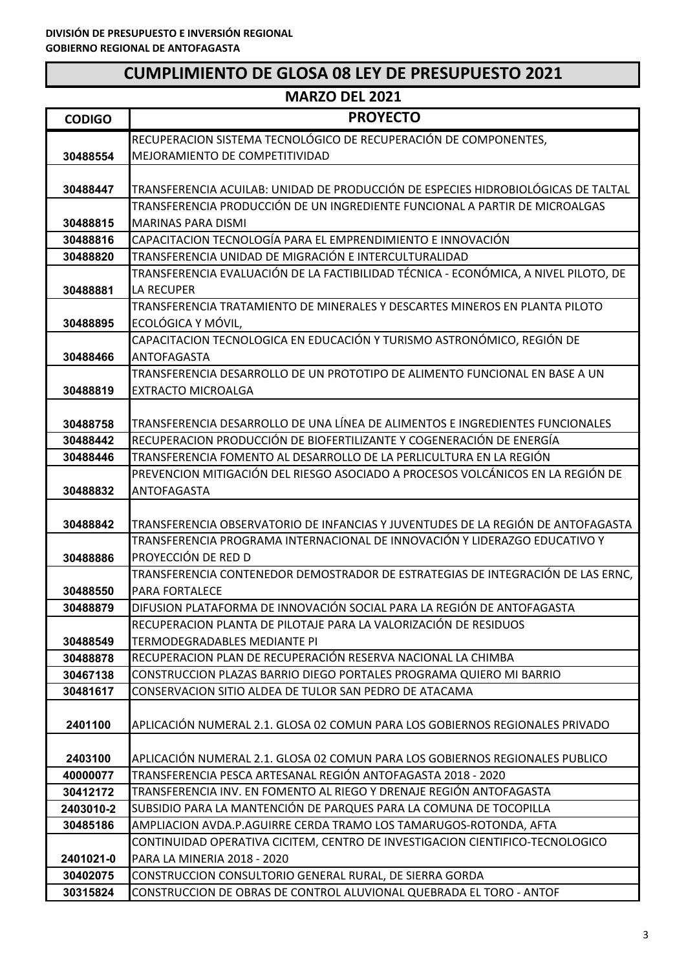| <b>MARZO DEL 2021</b> |                                                                                                                                |
|-----------------------|--------------------------------------------------------------------------------------------------------------------------------|
| <b>CODIGO</b>         | <b>PROYECTO</b>                                                                                                                |
|                       | RECUPERACION SISTEMA TECNOLÓGICO DE RECUPERACIÓN DE COMPONENTES,                                                               |
| 30488554              | MEJORAMIENTO DE COMPETITIVIDAD                                                                                                 |
|                       |                                                                                                                                |
| 30488447              | TRANSFERENCIA ACUILAB: UNIDAD DE PRODUCCIÓN DE ESPECIES HIDROBIOLÓGICAS DE TALTAL                                              |
|                       | TRANSFERENCIA PRODUCCIÓN DE UN INGREDIENTE FUNCIONAL A PARTIR DE MICROALGAS                                                    |
| 30488815              | <b>MARINAS PARA DISMI</b>                                                                                                      |
| 30488816              | CAPACITACION TECNOLOGÍA PARA EL EMPRENDIMIENTO E INNOVACIÓN                                                                    |
| 30488820              | TRANSFERENCIA UNIDAD DE MIGRACIÓN E INTERCULTURALIDAD                                                                          |
|                       | TRANSFERENCIA EVALUACIÓN DE LA FACTIBILIDAD TÉCNICA - ECONÓMICA, A NIVEL PILOTO, DE                                            |
| 30488881              | <b>LA RECUPER</b>                                                                                                              |
|                       | TRANSFERENCIA TRATAMIENTO DE MINERALES Y DESCARTES MINEROS EN PLANTA PILOTO                                                    |
| 30488895              | ECOLÓGICA Y MÓVIL,                                                                                                             |
|                       | CAPACITACION TECNOLOGICA EN EDUCACIÓN Y TURISMO ASTRONÓMICO, REGIÓN DE                                                         |
| 30488466              | <b>ANTOFAGASTA</b>                                                                                                             |
|                       | TRANSFERENCIA DESARROLLO DE UN PROTOTIPO DE ALIMENTO FUNCIONAL EN BASE A UN                                                    |
| 30488819              | <b>EXTRACTO MICROALGA</b>                                                                                                      |
|                       |                                                                                                                                |
| 30488758              | TRANSFERENCIA DESARROLLO DE UNA LÍNEA DE ALIMENTOS E INGREDIENTES FUNCIONALES                                                  |
| 30488442              | RECUPERACION PRODUCCIÓN DE BIOFERTILIZANTE Y COGENERACIÓN DE ENERGÍA                                                           |
| 30488446              | TRANSFERENCIA FOMENTO AL DESARROLLO DE LA PERLICULTURA EN LA REGIÓN                                                            |
|                       | PREVENCION MITIGACIÓN DEL RIESGO ASOCIADO A PROCESOS VOLCÁNICOS EN LA REGIÓN DE                                                |
| 30488832              | ANTOFAGASTA                                                                                                                    |
|                       | TRANSFERENCIA OBSERVATORIO DE INFANCIAS Y JUVENTUDES DE LA REGIÓN DE ANTOFAGASTA                                               |
| 30488842              | TRANSFERENCIA PROGRAMA INTERNACIONAL DE INNOVACIÓN Y LIDERAZGO EDUCATIVO Y                                                     |
| 30488886              | PROYECCIÓN DE RED D                                                                                                            |
|                       | TRANSFERENCIA CONTENEDOR DEMOSTRADOR DE ESTRATEGIAS DE INTEGRACIÓN DE LAS ERNC,                                                |
| 30488550              | PARA FORTALECE                                                                                                                 |
| 30488879              | DIFUSION PLATAFORMA DE INNOVACIÓN SOCIAL PARA LA REGIÓN DE ANTOFAGASTA                                                         |
|                       | RECUPERACION PLANTA DE PILOTAJE PARA LA VALORIZACIÓN DE RESIDUOS                                                               |
| 30488549              | <b>TERMODEGRADABLES MEDIANTE PI</b>                                                                                            |
| 30488878              | RECUPERACION PLAN DE RECUPERACIÓN RESERVA NACIONAL LA CHIMBA                                                                   |
| 30467138              | CONSTRUCCION PLAZAS BARRIO DIEGO PORTALES PROGRAMA QUIERO MI BARRIO                                                            |
| 30481617              | CONSERVACION SITIO ALDEA DE TULOR SAN PEDRO DE ATACAMA                                                                         |
|                       |                                                                                                                                |
| 2401100               | APLICACIÓN NUMERAL 2.1. GLOSA 02 COMUN PARA LOS GOBIERNOS REGIONALES PRIVADO                                                   |
|                       |                                                                                                                                |
| 2403100               | APLICACIÓN NUMERAL 2.1. GLOSA 02 COMUN PARA LOS GOBIERNOS REGIONALES PUBLICO                                                   |
| 40000077              | TRANSFERENCIA PESCA ARTESANAL REGIÓN ANTOFAGASTA 2018 - 2020                                                                   |
| 30412172              | TRANSFERENCIA INV. EN FOMENTO AL RIEGO Y DRENAJE REGIÓN ANTOFAGASTA                                                            |
| 2403010-2             | SUBSIDIO PARA LA MANTENCIÓN DE PARQUES PARA LA COMUNA DE TOCOPILLA                                                             |
| 30485186              | AMPLIACION AVDA.P.AGUIRRE CERDA TRAMO LOS TAMARUGOS-ROTONDA, AFTA                                                              |
|                       | CONTINUIDAD OPERATIVA CICITEM, CENTRO DE INVESTIGACION CIENTIFICO-TECNOLOGICO                                                  |
| 2401021-0             | PARA LA MINERIA 2018 - 2020                                                                                                    |
| 30402075              | CONSTRUCCION CONSULTORIO GENERAL RURAL, DE SIERRA GORDA<br>CONSTRUCCION DE OBRAS DE CONTROL ALUVIONAL QUEBRADA EL TORO - ANTOF |
| 30315824              |                                                                                                                                |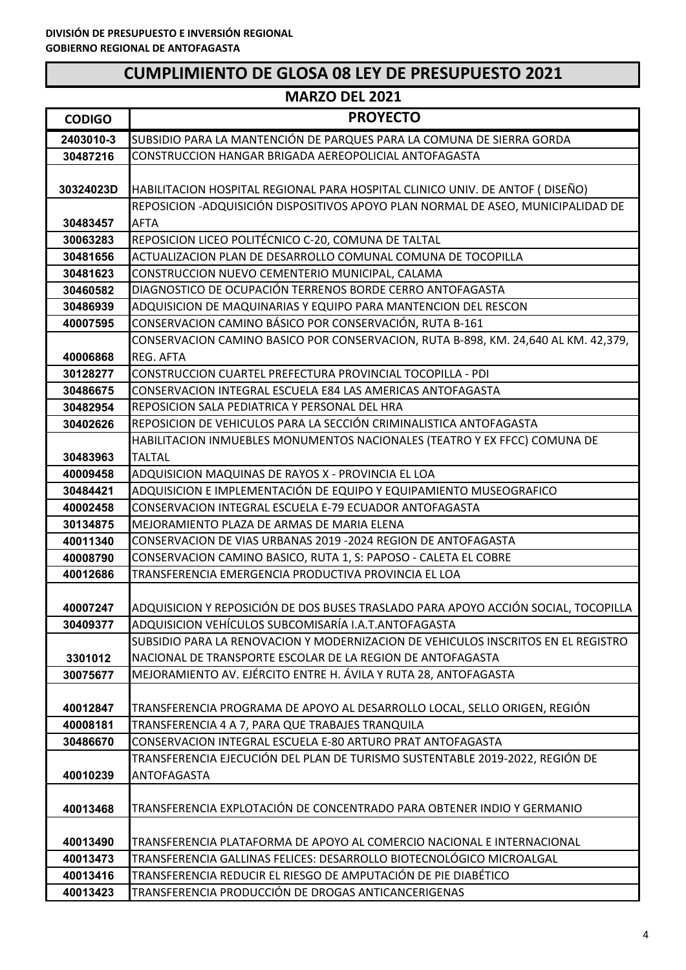| <b>MARZO DEL 2021</b> |                                                                                                                                            |
|-----------------------|--------------------------------------------------------------------------------------------------------------------------------------------|
| <b>CODIGO</b>         | <b>PROYECTO</b>                                                                                                                            |
| 2403010-3             | SUBSIDIO PARA LA MANTENCIÓN DE PARQUES PARA LA COMUNA DE SIERRA GORDA                                                                      |
| 30487216              | CONSTRUCCION HANGAR BRIGADA AEREOPOLICIAL ANTOFAGASTA                                                                                      |
|                       |                                                                                                                                            |
| 30324023D             | HABILITACION HOSPITAL REGIONAL PARA HOSPITAL CLINICO UNIV. DE ANTOF (DISEÑO)                                                               |
|                       | REPOSICION - ADQUISICIÓN DISPOSITIVOS APOYO PLAN NORMAL DE ASEO, MUNICIPALIDAD DE                                                          |
| 30483457              | <b>AFTA</b>                                                                                                                                |
| 30063283              | REPOSICION LICEO POLITÉCNICO C-20, COMUNA DE TALTAL                                                                                        |
| 30481656              | ACTUALIZACION PLAN DE DESARROLLO COMUNAL COMUNA DE TOCOPILLA                                                                               |
| 30481623<br>30460582  | CONSTRUCCION NUEVO CEMENTERIO MUNICIPAL, CALAMA<br>DIAGNOSTICO DE OCUPACIÓN TERRENOS BORDE CERRO ANTOFAGASTA                               |
| 30486939              | ADQUISICION DE MAQUINARIAS Y EQUIPO PARA MANTENCION DEL RESCON                                                                             |
| 40007595              | CONSERVACION CAMINO BÁSICO POR CONSERVACIÓN, RUTA B-161                                                                                    |
|                       | CONSERVACION CAMINO BASICO POR CONSERVACION, RUTA B-898, KM. 24,640 AL KM. 42,379,                                                         |
| 40006868              | REG. AFTA                                                                                                                                  |
| 30128277              | CONSTRUCCION CUARTEL PREFECTURA PROVINCIAL TOCOPILLA - PDI                                                                                 |
| 30486675              | CONSERVACION INTEGRAL ESCUELA E84 LAS AMERICAS ANTOFAGASTA                                                                                 |
| 30482954              | REPOSICION SALA PEDIATRICA Y PERSONAL DEL HRA                                                                                              |
| 30402626              | REPOSICION DE VEHICULOS PARA LA SECCIÓN CRIMINALISTICA ANTOFAGASTA                                                                         |
|                       | HABILITACION INMUEBLES MONUMENTOS NACIONALES (TEATRO Y EX FFCC) COMUNA DE                                                                  |
| 30483963              | <b>TALTAL</b>                                                                                                                              |
| 40009458              | ADQUISICION MAQUINAS DE RAYOS X - PROVINCIA EL LOA                                                                                         |
| 30484421              | ADQUISICION E IMPLEMENTACIÓN DE EQUIPO Y EQUIPAMIENTO MUSEOGRAFICO                                                                         |
| 40002458              | CONSERVACION INTEGRAL ESCUELA E-79 ECUADOR ANTOFAGASTA                                                                                     |
| 30134875              | MEJORAMIENTO PLAZA DE ARMAS DE MARIA ELENA                                                                                                 |
| 40011340              | CONSERVACION DE VIAS URBANAS 2019 -2024 REGION DE ANTOFAGASTA                                                                              |
| 40008790              | CONSERVACION CAMINO BASICO, RUTA 1, S: PAPOSO - CALETA EL COBRE                                                                            |
| 40012686              | TRANSFERENCIA EMERGENCIA PRODUCTIVA PROVINCIA EL LOA                                                                                       |
|                       |                                                                                                                                            |
| 40007247              | ADQUISICION Y REPOSICIÓN DE DOS BUSES TRASLADO PARA APOYO ACCIÓN SOCIAL, TOCOPILLA<br>ADQUISICION VEHÍCULOS SUBCOMISARÍA I.A.T.ANTOFAGASTA |
| 30409377              | SUBSIDIO PARA LA RENOVACION Y MODERNIZACION DE VEHICULOS INSCRITOS EN EL REGISTRO                                                          |
| 3301012               | NACIONAL DE TRANSPORTE ESCOLAR DE LA REGION DE ANTOFAGASTA                                                                                 |
| 30075677              | MEJORAMIENTO AV. EJÉRCITO ENTRE H. ÁVILA Y RUTA 28, ANTOFAGASTA                                                                            |
|                       |                                                                                                                                            |
| 40012847              | TRANSFERENCIA PROGRAMA DE APOYO AL DESARROLLO LOCAL, SELLO ORIGEN, REGIÓN                                                                  |
| 40008181              | TRANSFERENCIA 4 A 7, PARA QUE TRABAJES TRANQUILA                                                                                           |
| 30486670              | CONSERVACION INTEGRAL ESCUELA E-80 ARTURO PRAT ANTOFAGASTA                                                                                 |
|                       | TRANSFERENCIA EJECUCIÓN DEL PLAN DE TURISMO SUSTENTABLE 2019-2022, REGIÓN DE                                                               |
| 40010239              | ANTOFAGASTA                                                                                                                                |
|                       |                                                                                                                                            |
| 40013468              | TRANSFERENCIA EXPLOTACIÓN DE CONCENTRADO PARA OBTENER INDIO Y GERMANIO                                                                     |
|                       |                                                                                                                                            |
| 40013490              | TRANSFERENCIA PLATAFORMA DE APOYO AL COMERCIO NACIONAL E INTERNACIONAL                                                                     |
| 40013473              | TRANSFERENCIA GALLINAS FELICES: DESARROLLO BIOTECNOLÓGICO MICROALGAL                                                                       |
| 40013416              | TRANSFERENCIA REDUCIR EL RIESGO DE AMPUTACIÓN DE PIE DIABÉTICO                                                                             |
| 40013423              | TRANSFERENCIA PRODUCCIÓN DE DROGAS ANTICANCERIGENAS                                                                                        |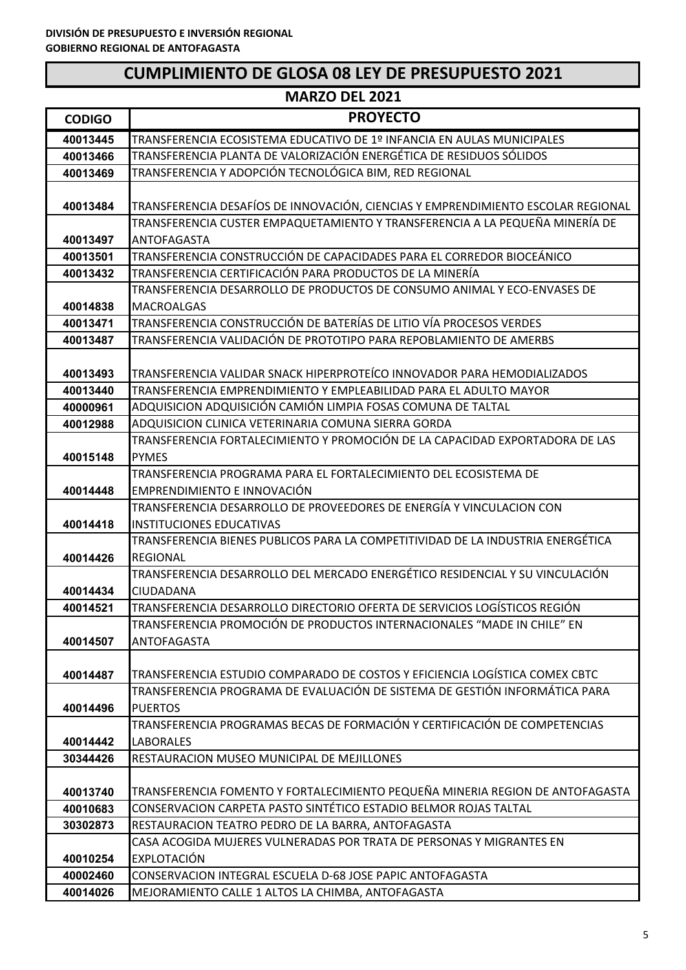| <b>MARZO DEL 2021</b> |                                                                                                                                     |
|-----------------------|-------------------------------------------------------------------------------------------------------------------------------------|
| <b>CODIGO</b>         | <b>PROYECTO</b>                                                                                                                     |
| 40013445              | TRANSFERENCIA ECOSISTEMA EDUCATIVO DE 1º INFANCIA EN AULAS MUNICIPALES                                                              |
| 40013466              | TRANSFERENCIA PLANTA DE VALORIZACIÓN ENERGÉTICA DE RESIDUOS SÓLIDOS                                                                 |
| 40013469              | TRANSFERENCIA Y ADOPCIÓN TECNOLÓGICA BIM, RED REGIONAL                                                                              |
|                       |                                                                                                                                     |
| 40013484              | TRANSFERENCIA DESAFÍOS DE INNOVACIÓN, CIENCIAS Y EMPRENDIMIENTO ESCOLAR REGIONAL                                                    |
|                       | TRANSFERENCIA CUSTER EMPAQUETAMIENTO Y TRANSFERENCIA A LA PEQUEÑA MINERÍA DE                                                        |
| 40013497              | ANTOFAGASTA                                                                                                                         |
| 40013501              | TRANSFERENCIA CONSTRUCCIÓN DE CAPACIDADES PARA EL CORREDOR BIOCEÁNICO                                                               |
| 40013432              | TRANSFERENCIA CERTIFICACIÓN PARA PRODUCTOS DE LA MINERÍA                                                                            |
|                       | TRANSFERENCIA DESARROLLO DE PRODUCTOS DE CONSUMO ANIMAL Y ECO-ENVASES DE                                                            |
| 40014838              | <b>MACROALGAS</b>                                                                                                                   |
| 40013471              | TRANSFERENCIA CONSTRUCCIÓN DE BATERÍAS DE LITIO VÍA PROCESOS VERDES                                                                 |
| 40013487              | TRANSFERENCIA VALIDACIÓN DE PROTOTIPO PARA REPOBLAMIENTO DE AMERBS                                                                  |
|                       |                                                                                                                                     |
| 40013493              | TRANSFERENCIA VALIDAR SNACK HIPERPROTEÍCO INNOVADOR PARA HEMODIALIZADOS                                                             |
| 40013440              | TRANSFERENCIA EMPRENDIMIENTO Y EMPLEABILIDAD PARA EL ADULTO MAYOR                                                                   |
| 40000961              | ADQUISICION ADQUISICIÓN CAMIÓN LIMPIA FOSAS COMUNA DE TALTAL                                                                        |
| 40012988              | ADQUISICION CLINICA VETERINARIA COMUNA SIERRA GORDA<br>TRANSFERENCIA FORTALECIMIENTO Y PROMOCIÓN DE LA CAPACIDAD EXPORTADORA DE LAS |
|                       | <b>PYMES</b>                                                                                                                        |
| 40015148              | TRANSFERENCIA PROGRAMA PARA EL FORTALECIMIENTO DEL ECOSISTEMA DE                                                                    |
| 40014448              | EMPRENDIMIENTO E INNOVACIÓN                                                                                                         |
|                       | TRANSFERENCIA DESARROLLO DE PROVEEDORES DE ENERGÍA Y VINCULACION CON                                                                |
| 40014418              | <b>INSTITUCIONES EDUCATIVAS</b>                                                                                                     |
|                       | TRANSFERENCIA BIENES PUBLICOS PARA LA COMPETITIVIDAD DE LA INDUSTRIA ENERGÉTICA                                                     |
| 40014426              | <b>REGIONAL</b>                                                                                                                     |
|                       | TRANSFERENCIA DESARROLLO DEL MERCADO ENERGÉTICO RESIDENCIAL Y SU VINCULACIÓN                                                        |
| 40014434              | CIUDADANA                                                                                                                           |
| 40014521              | TRANSFERENCIA DESARROLLO DIRECTORIO OFERTA DE SERVICIOS LOGÍSTICOS REGIÓN                                                           |
|                       | TRANSFERENCIA PROMOCIÓN DE PRODUCTOS INTERNACIONALES "MADE IN CHILE" EN                                                             |
| 40014507              | ANTOFAGASTA                                                                                                                         |
|                       |                                                                                                                                     |
| 40014487              | TRANSFERENCIA ESTUDIO COMPARADO DE COSTOS Y EFICIENCIA LOGÍSTICA COMEX CBTC                                                         |
|                       | TRANSFERENCIA PROGRAMA DE EVALUACIÓN DE SISTEMA DE GESTIÓN INFORMÁTICA PARA                                                         |
| 40014496              | <b>PUERTOS</b>                                                                                                                      |
|                       | TRANSFERENCIA PROGRAMAS BECAS DE FORMACIÓN Y CERTIFICACIÓN DE COMPETENCIAS                                                          |
| 40014442              | <b>LABORALES</b>                                                                                                                    |
| 30344426              | RESTAURACION MUSEO MUNICIPAL DE MEJILLONES                                                                                          |
|                       |                                                                                                                                     |
| 40013740              | TRANSFERENCIA FOMENTO Y FORTALECIMIENTO PEQUEÑA MINERIA REGION DE ANTOFAGASTA                                                       |
| 40010683              | CONSERVACION CARPETA PASTO SINTÉTICO ESTADIO BELMOR ROJAS TALTAL                                                                    |
| 30302873              | RESTAURACION TEATRO PEDRO DE LA BARRA, ANTOFAGASTA                                                                                  |
|                       | CASA ACOGIDA MUJERES VULNERADAS POR TRATA DE PERSONAS Y MIGRANTES EN                                                                |
| 40010254              | <b>EXPLOTACIÓN</b>                                                                                                                  |
| 40002460              | CONSERVACION INTEGRAL ESCUELA D-68 JOSE PAPIC ANTOFAGASTA                                                                           |
| 40014026              | MEJORAMIENTO CALLE 1 ALTOS LA CHIMBA, ANTOFAGASTA                                                                                   |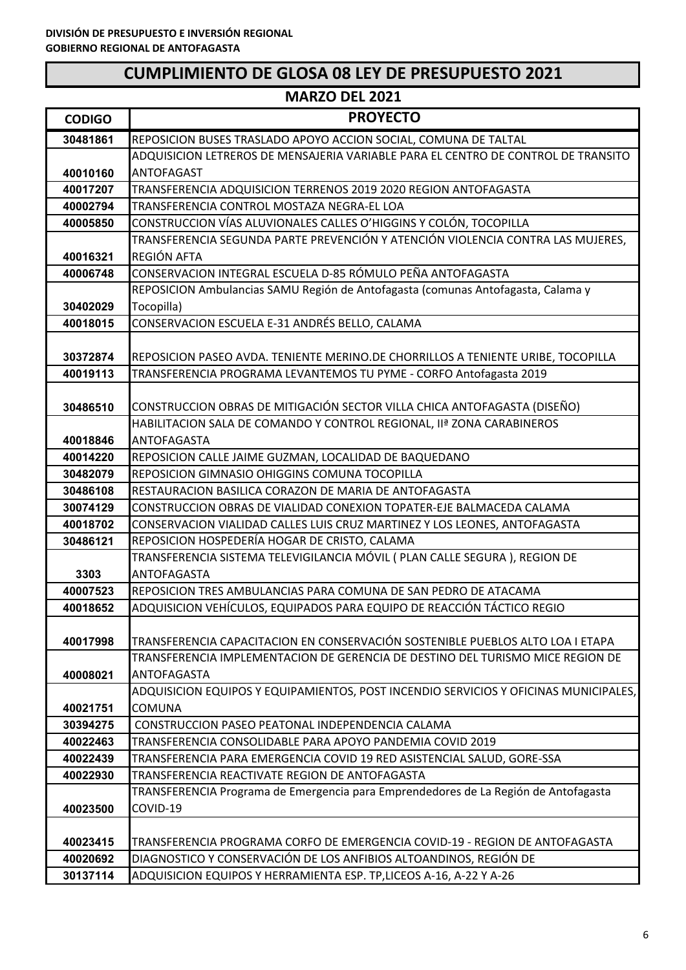#### **CODIGO PROYECTO MARZO DEL 2021** REPOSICION BUSES TRASLADO APOYO ACCION SOCIAL, COMUNA DE TALTAL ADQUISICION LETREROS DE MENSAJERIA VARIABLE PARA EL CENTRO DE CONTROL DE TRANSITO ANTOFAGAST TRANSFERENCIA ADQUISICION TERRENOS 2019 2020 REGION ANTOFAGASTA TRANSFERENCIA CONTROL MOSTAZA NEGRA‐EL LOA CONSTRUCCION VÍAS ALUVIONALES CALLES O'HIGGINS Y COLÓN, TOCOPILLA TRANSFERENCIA SEGUNDA PARTE PREVENCIÓN Y ATENCIÓN VIOLENCIA CONTRA LAS MUJERES, REGIÓN AFTA CONSERVACION INTEGRAL ESCUELA D‐85 RÓMULO PEÑA ANTOFAGASTA REPOSICION Ambulancias SAMU Región de Antofagasta (comunas Antofagasta, Calama y Tocopilla) CONSERVACION ESCUELA E‐31 ANDRÉS BELLO, CALAMA REPOSICION PASEO AVDA. TENIENTE MERINO.DE CHORRILLOS A TENIENTE URIBE, TOCOPILLA TRANSFERENCIA PROGRAMA LEVANTEMOS TU PYME ‐ CORFO Antofagasta 2019 CONSTRUCCION OBRAS DE MITIGACIÓN SECTOR VILLA CHICA ANTOFAGASTA (DISEÑO) HABILITACION SALA DE COMANDO Y CONTROL REGIONAL, IIª ZONA CARABINEROS ANTOFAGASTA REPOSICION CALLE JAIME GUZMAN, LOCALIDAD DE BAQUEDANO REPOSICION GIMNASIO OHIGGINS COMUNA TOCOPILLA RESTAURACION BASILICA CORAZON DE MARIA DE ANTOFAGASTA CONSTRUCCION OBRAS DE VIALIDAD CONEXION TOPATER‐EJE BALMACEDA CALAMA CONSERVACION VIALIDAD CALLES LUIS CRUZ MARTINEZ Y LOS LEONES, ANTOFAGASTA REPOSICION HOSPEDERÍA HOGAR DE CRISTO, CALAMA TRANSFERENCIA SISTEMA TELEVIGILANCIA MÓVIL ( PLAN CALLE SEGURA ), REGION DE ANTOFAGASTA REPOSICION TRES AMBULANCIAS PARA COMUNA DE SAN PEDRO DE ATACAMA ADQUISICION VEHÍCULOS, EQUIPADOS PARA EQUIPO DE REACCIÓN TÁCTICO REGIO TRANSFERENCIA CAPACITACION EN CONSERVACIÓN SOSTENIBLE PUEBLOS ALTO LOA I ETAPA TRANSFERENCIA IMPLEMENTACION DE GERENCIA DE DESTINO DEL TURISMO MICE REGION DE ANTOFAGASTA ADQUISICION EQUIPOS Y EQUIPAMIENTOS, POST INCENDIO SERVICIOS Y OFICINAS MUNICIPALES, COMUNA CONSTRUCCION PASEO PEATONAL INDEPENDENCIA CALAMA TRANSFERENCIA CONSOLIDABLE PARA APOYO PANDEMIA COVID 2019 TRANSFERENCIA PARA EMERGENCIA COVID 19 RED ASISTENCIAL SALUD, GORE‐SSA TRANSFERENCIA REACTIVATE REGION DE ANTOFAGASTA TRANSFERENCIA Programa de Emergencia para Emprendedores de La Región de Antofagasta COVID‐19 TRANSFERENCIA PROGRAMA CORFO DE EMERGENCIA COVID‐19 ‐ REGION DE ANTOFAGASTA DIAGNOSTICO Y CONSERVACIÓN DE LOS ANFIBIOS ALTOANDINOS, REGIÓN DE ADQUISICION EQUIPOS Y HERRAMIENTA ESP. TP,LICEOS A‐16, A‐22 Y A‐26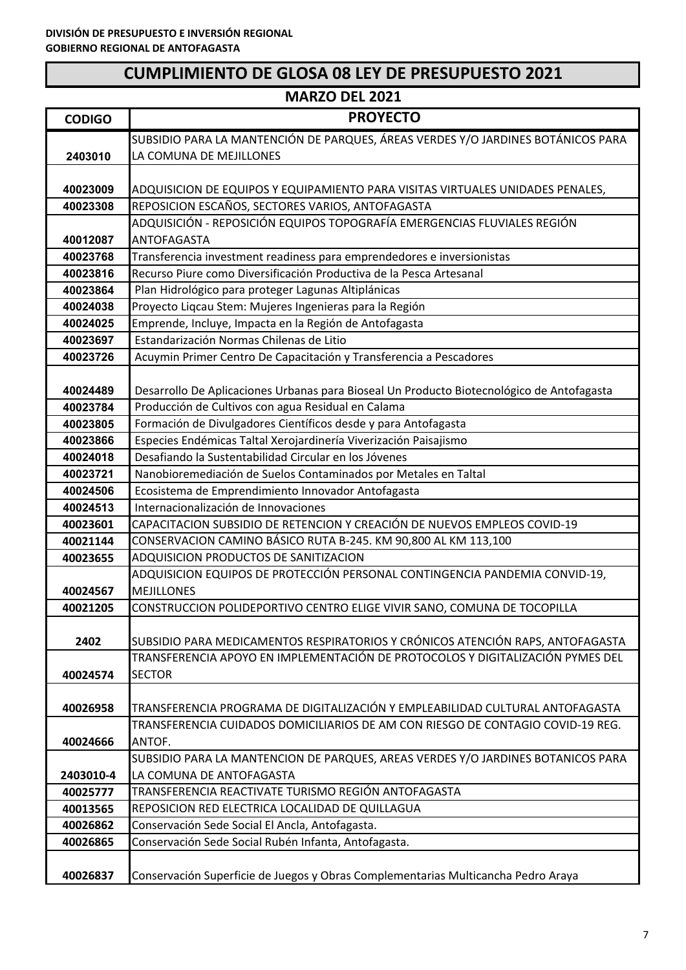| <b>MARZO DEL 2021</b> |                                                                                                |
|-----------------------|------------------------------------------------------------------------------------------------|
| <b>CODIGO</b>         | <b>PROYECTO</b>                                                                                |
|                       | SUBSIDIO PARA LA MANTENCIÓN DE PARQUES, ÁREAS VERDES Y/O JARDINES BOTÁNICOS PARA               |
| 2403010               | LA COMUNA DE MEJILLONES                                                                        |
|                       |                                                                                                |
| 40023009              | ADQUISICION DE EQUIPOS Y EQUIPAMIENTO PARA VISITAS VIRTUALES UNIDADES PENALES,                 |
| 40023308              | REPOSICION ESCAÑOS, SECTORES VARIOS, ANTOFAGASTA                                               |
| 40012087              | ADQUISICIÓN - REPOSICIÓN EQUIPOS TOPOGRAFÍA EMERGENCIAS FLUVIALES REGIÓN<br><b>ANTOFAGASTA</b> |
| 40023768              | Transferencia investment readiness para emprendedores e inversionistas                         |
| 40023816              | Recurso Piure como Diversificación Productiva de la Pesca Artesanal                            |
| 40023864              | Plan Hidrológico para proteger Lagunas Altiplánicas                                            |
| 40024038              | Proyecto Liqcau Stem: Mujeres Ingenieras para la Región                                        |
| 40024025              | Emprende, Incluye, Impacta en la Región de Antofagasta                                         |
| 40023697              | Estandarización Normas Chilenas de Litio                                                       |
| 40023726              | Acuymin Primer Centro De Capacitación y Transferencia a Pescadores                             |
|                       |                                                                                                |
| 40024489              | Desarrollo De Aplicaciones Urbanas para Bioseal Un Producto Biotecnológico de Antofagasta      |
| 40023784              | Producción de Cultivos con agua Residual en Calama                                             |
| 40023805              | Formación de Divulgadores Científicos desde y para Antofagasta                                 |
| 40023866              | Especies Endémicas Taltal Xerojardinería Viverización Paisajismo                               |
| 40024018              | Desafiando la Sustentabilidad Circular en los Jóvenes                                          |
| 40023721              | Nanobioremediación de Suelos Contaminados por Metales en Taltal                                |
| 40024506              | Ecosistema de Emprendimiento Innovador Antofagasta                                             |
| 40024513              | Internacionalización de Innovaciones                                                           |
| 40023601              | CAPACITACION SUBSIDIO DE RETENCION Y CREACIÓN DE NUEVOS EMPLEOS COVID-19                       |
| 40021144              | CONSERVACION CAMINO BÁSICO RUTA B-245. KM 90,800 AL KM 113,100                                 |
| 40023655              | ADQUISICION PRODUCTOS DE SANITIZACION                                                          |
|                       | ADQUISICION EQUIPOS DE PROTECCIÓN PERSONAL CONTINGENCIA PANDEMIA CONVID-19,                    |
| 40024567              | <b>MEJILLONES</b>                                                                              |
| 40021205              | CONSTRUCCION POLIDEPORTIVO CENTRO ELIGE VIVIR SANO, COMUNA DE TOCOPILLA                        |
|                       |                                                                                                |
| 2402                  | SUBSIDIO PARA MEDICAMENTOS RESPIRATORIOS Y CRÓNICOS ATENCIÓN RAPS, ANTOFAGASTA                 |
|                       | TRANSFERENCIA APOYO EN IMPLEMENTACIÓN DE PROTOCOLOS Y DIGITALIZACIÓN PYMES DEL                 |
| 40024574              | <b>SECTOR</b>                                                                                  |
| 40026958              | TRANSFERENCIA PROGRAMA DE DIGITALIZACIÓN Y EMPLEABILIDAD CULTURAL ANTOFAGASTA                  |
|                       | TRANSFERENCIA CUIDADOS DOMICILIARIOS DE AM CON RIESGO DE CONTAGIO COVID-19 REG.                |
| 40024666              | ANTOF.                                                                                         |
|                       | SUBSIDIO PARA LA MANTENCION DE PARQUES, AREAS VERDES Y/O JARDINES BOTANICOS PARA               |
| 2403010-4             | LA COMUNA DE ANTOFAGASTA                                                                       |
| 40025777              | TRANSFERENCIA REACTIVATE TURISMO REGIÓN ANTOFAGASTA                                            |
| 40013565              | REPOSICION RED ELECTRICA LOCALIDAD DE QUILLAGUA                                                |
| 40026862              | Conservación Sede Social El Ancla, Antofagasta.                                                |
| 40026865              | Conservación Sede Social Rubén Infanta, Antofagasta.                                           |
|                       |                                                                                                |
| 40026837              | Conservación Superficie de Juegos y Obras Complementarias Multicancha Pedro Araya              |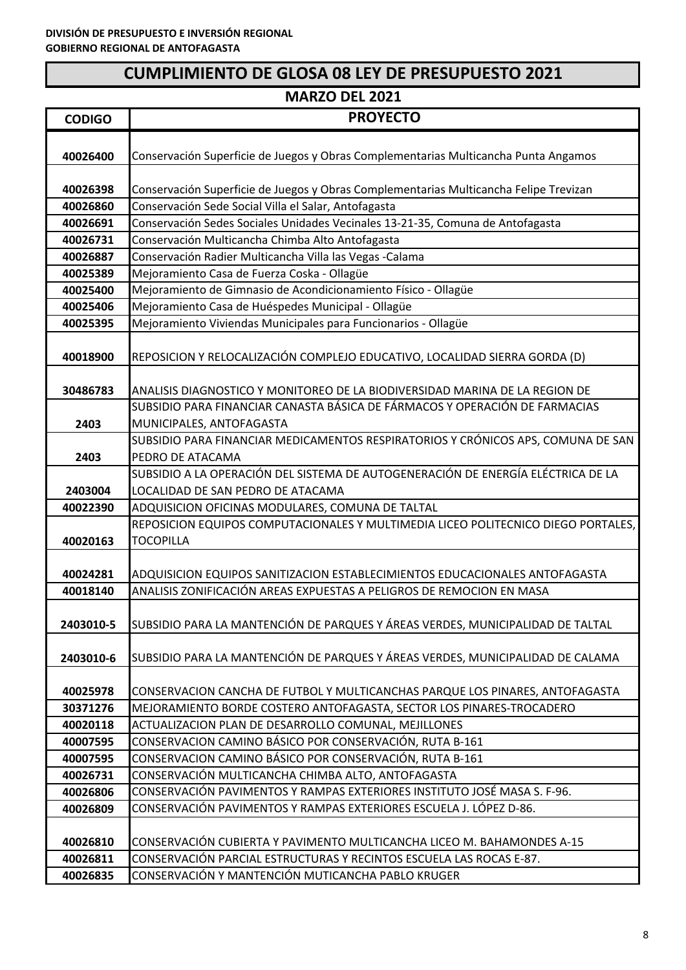| <b>CODIGO</b> | <b>PROYECTO</b>                                                                       |
|---------------|---------------------------------------------------------------------------------------|
|               |                                                                                       |
| 40026400      | Conservación Superficie de Juegos y Obras Complementarias Multicancha Punta Angamos   |
|               |                                                                                       |
| 40026398      | Conservación Superficie de Juegos y Obras Complementarias Multicancha Felipe Trevizan |
| 40026860      | Conservación Sede Social Villa el Salar, Antofagasta                                  |
| 40026691      | Conservación Sedes Sociales Unidades Vecinales 13-21-35, Comuna de Antofagasta        |
| 40026731      | Conservación Multicancha Chimba Alto Antofagasta                                      |
| 40026887      | Conservación Radier Multicancha Villa las Vegas -Calama                               |
| 40025389      | Mejoramiento Casa de Fuerza Coska - Ollagüe                                           |
| 40025400      | Mejoramiento de Gimnasio de Acondicionamiento Físico - Ollagüe                        |
| 40025406      | Mejoramiento Casa de Huéspedes Municipal - Ollagüe                                    |
| 40025395      | Mejoramiento Viviendas Municipales para Funcionarios - Ollagüe                        |
|               |                                                                                       |
| 40018900      | REPOSICION Y RELOCALIZACIÓN COMPLEJO EDUCATIVO, LOCALIDAD SIERRA GORDA (D)            |
| 30486783      | ANALISIS DIAGNOSTICO Y MONITOREO DE LA BIODIVERSIDAD MARINA DE LA REGION DE           |
|               | SUBSIDIO PARA FINANCIAR CANASTA BÁSICA DE FÁRMACOS Y OPERACIÓN DE FARMACIAS           |
| 2403          | MUNICIPALES, ANTOFAGASTA                                                              |
|               | SUBSIDIO PARA FINANCIAR MEDICAMENTOS RESPIRATORIOS Y CRÓNICOS APS, COMUNA DE SAN      |
| 2403          | PEDRO DE ATACAMA                                                                      |
|               | SUBSIDIO A LA OPERACIÓN DEL SISTEMA DE AUTOGENERACIÓN DE ENERGÍA ELÉCTRICA DE LA      |
| 2403004       | LOCALIDAD DE SAN PEDRO DE ATACAMA                                                     |
| 40022390      | ADQUISICION OFICINAS MODULARES, COMUNA DE TALTAL                                      |
|               | REPOSICION EQUIPOS COMPUTACIONALES Y MULTIMEDIA LICEO POLITECNICO DIEGO PORTALES,     |
| 40020163      | <b>TOCOPILLA</b>                                                                      |
|               |                                                                                       |
| 40024281      | ADQUISICION EQUIPOS SANITIZACION ESTABLECIMIENTOS EDUCACIONALES ANTOFAGASTA           |
| 40018140      | ANALISIS ZONIFICACIÓN AREAS EXPUESTAS A PELIGROS DE REMOCION EN MASA                  |
|               |                                                                                       |
| 2403010-5     | SUBSIDIO PARA LA MANTENCIÓN DE PARQUES Y ÁREAS VERDES, MUNICIPALIDAD DE TALTAL        |
|               |                                                                                       |
| 2403010-6     | SUBSIDIO PARA LA MANTENCIÓN DE PARQUES Y ÁREAS VERDES, MUNICIPALIDAD DE CALAMA        |
|               |                                                                                       |
| 40025978      | CONSERVACION CANCHA DE FUTBOL Y MULTICANCHAS PARQUE LOS PINARES, ANTOFAGASTA          |
| 30371276      | MEJORAMIENTO BORDE COSTERO ANTOFAGASTA, SECTOR LOS PINARES-TROCADERO                  |
| 40020118      | ACTUALIZACION PLAN DE DESARROLLO COMUNAL, MEJILLONES                                  |
| 40007595      | CONSERVACION CAMINO BÁSICO POR CONSERVACIÓN, RUTA B-161                               |
| 40007595      | CONSERVACION CAMINO BÁSICO POR CONSERVACIÓN, RUTA B-161                               |
| 40026731      | CONSERVACIÓN MULTICANCHA CHIMBA ALTO, ANTOFAGASTA                                     |
| 40026806      | CONSERVACIÓN PAVIMENTOS Y RAMPAS EXTERIORES INSTITUTO JOSÉ MASA S. F-96.              |
| 40026809      | CONSERVACIÓN PAVIMENTOS Y RAMPAS EXTERIORES ESCUELA J. LÓPEZ D-86.                    |
|               |                                                                                       |
| 40026810      | CONSERVACIÓN CUBIERTA Y PAVIMENTO MULTICANCHA LICEO M. BAHAMONDES A-15                |
| 40026811      | CONSERVACIÓN PARCIAL ESTRUCTURAS Y RECINTOS ESCUELA LAS ROCAS E-87.                   |
| 40026835      | CONSERVACIÓN Y MANTENCIÓN MUTICANCHA PABLO KRUGER                                     |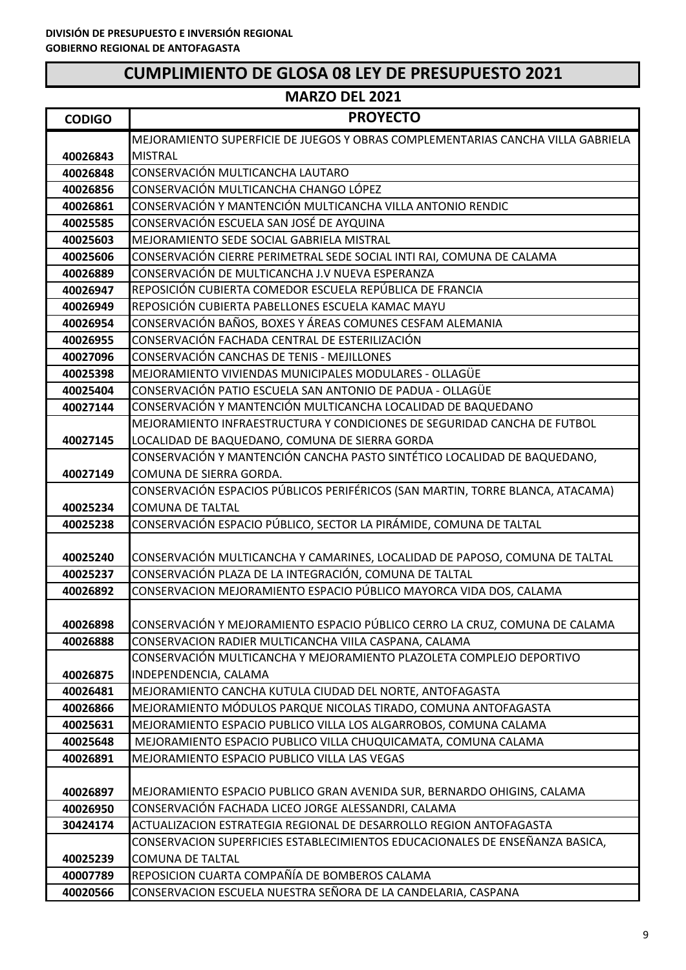| <b>CODIGO</b> | <b>PROYECTO</b>                                                                 |
|---------------|---------------------------------------------------------------------------------|
|               | MEJORAMIENTO SUPERFICIE DE JUEGOS Y OBRAS COMPLEMENTARIAS CANCHA VILLA GABRIELA |
| 40026843      | <b>MISTRAL</b>                                                                  |
| 40026848      | CONSERVACIÓN MULTICANCHA LAUTARO                                                |
| 40026856      | CONSERVACIÓN MULTICANCHA CHANGO LÓPEZ                                           |
| 40026861      | CONSERVACIÓN Y MANTENCIÓN MULTICANCHA VILLA ANTONIO RENDIC                      |
| 40025585      | CONSERVACIÓN ESCUELA SAN JOSÉ DE AYQUINA                                        |
| 40025603      | MEJORAMIENTO SEDE SOCIAL GABRIELA MISTRAL                                       |
| 40025606      | CONSERVACIÓN CIERRE PERIMETRAL SEDE SOCIAL INTI RAI, COMUNA DE CALAMA           |
| 40026889      | CONSERVACIÓN DE MULTICANCHA J.V NUEVA ESPERANZA                                 |
| 40026947      | REPOSICIÓN CUBIERTA COMEDOR ESCUELA REPÚBLICA DE FRANCIA                        |
| 40026949      | REPOSICIÓN CUBIERTA PABELLONES ESCUELA KAMAC MAYU                               |
| 40026954      | CONSERVACIÓN BAÑOS, BOXES Y ÁREAS COMUNES CESFAM ALEMANIA                       |
| 40026955      | CONSERVACIÓN FACHADA CENTRAL DE ESTERILIZACIÓN                                  |
| 40027096      | CONSERVACIÓN CANCHAS DE TENIS - MEJILLONES                                      |
| 40025398      | MEJORAMIENTO VIVIENDAS MUNICIPALES MODULARES - OLLAGÜE                          |
| 40025404      | CONSERVACIÓN PATIO ESCUELA SAN ANTONIO DE PADUA - OLLAGÜE                       |
| 40027144      | CONSERVACIÓN Y MANTENCIÓN MULTICANCHA LOCALIDAD DE BAQUEDANO                    |
|               | MEJORAMIENTO INFRAESTRUCTURA Y CONDICIONES DE SEGURIDAD CANCHA DE FUTBOL        |
| 40027145      | LOCALIDAD DE BAQUEDANO, COMUNA DE SIERRA GORDA                                  |
|               | CONSERVACIÓN Y MANTENCIÓN CANCHA PASTO SINTÉTICO LOCALIDAD DE BAQUEDANO,        |
| 40027149      | COMUNA DE SIERRA GORDA.                                                         |
|               | CONSERVACIÓN ESPACIOS PÚBLICOS PERIFÉRICOS (SAN MARTIN, TORRE BLANCA, ATACAMA)  |
| 40025234      | <b>COMUNA DE TALTAL</b>                                                         |
| 40025238      | CONSERVACIÓN ESPACIO PÚBLICO, SECTOR LA PIRÁMIDE, COMUNA DE TALTAL              |
|               |                                                                                 |
| 40025240      | CONSERVACIÓN MULTICANCHA Y CAMARINES, LOCALIDAD DE PAPOSO, COMUNA DE TALTAL     |
| 40025237      | CONSERVACIÓN PLAZA DE LA INTEGRACIÓN, COMUNA DE TALTAL                          |
| 40026892      | CONSERVACION MEJORAMIENTO ESPACIO PÚBLICO MAYORCA VIDA DOS, CALAMA              |
|               |                                                                                 |
| 40026898      | CONSERVACIÓN Y MEJORAMIENTO ESPACIO PÚBLICO CERRO LA CRUZ, COMUNA DE CALAMA     |
| 40026888      | CONSERVACION RADIER MULTICANCHA VIILA CASPANA, CALAMA                           |
|               | CONSERVACIÓN MULTICANCHA Y MEJORAMIENTO PLAZOLETA COMPLEJO DEPORTIVO            |
| 40026875      | INDEPENDENCIA, CALAMA                                                           |
| 40026481      | MEJORAMIENTO CANCHA KUTULA CIUDAD DEL NORTE, ANTOFAGASTA                        |
| 40026866      | MEJORAMIENTO MÓDULOS PARQUE NICOLAS TIRADO, COMUNA ANTOFAGASTA                  |
| 40025631      | MEJORAMIENTO ESPACIO PUBLICO VILLA LOS ALGARROBOS, COMUNA CALAMA                |
| 40025648      | MEJORAMIENTO ESPACIO PUBLICO VILLA CHUQUICAMATA, COMUNA CALAMA                  |
| 40026891      | MEJORAMIENTO ESPACIO PUBLICO VILLA LAS VEGAS                                    |
|               |                                                                                 |
| 40026897      | MEJORAMIENTO ESPACIO PUBLICO GRAN AVENIDA SUR, BERNARDO OHIGINS, CALAMA         |
| 40026950      | CONSERVACIÓN FACHADA LICEO JORGE ALESSANDRI, CALAMA                             |
| 30424174      | ACTUALIZACION ESTRATEGIA REGIONAL DE DESARROLLO REGION ANTOFAGASTA              |
|               | CONSERVACION SUPERFICIES ESTABLECIMIENTOS EDUCACIONALES DE ENSEÑANZA BASICA,    |
| 40025239      | <b>COMUNA DE TALTAL</b>                                                         |
| 40007789      | REPOSICION CUARTA COMPAÑÍA DE BOMBEROS CALAMA                                   |
| 40020566      | CONSERVACION ESCUELA NUESTRA SEÑORA DE LA CANDELARIA, CASPANA                   |